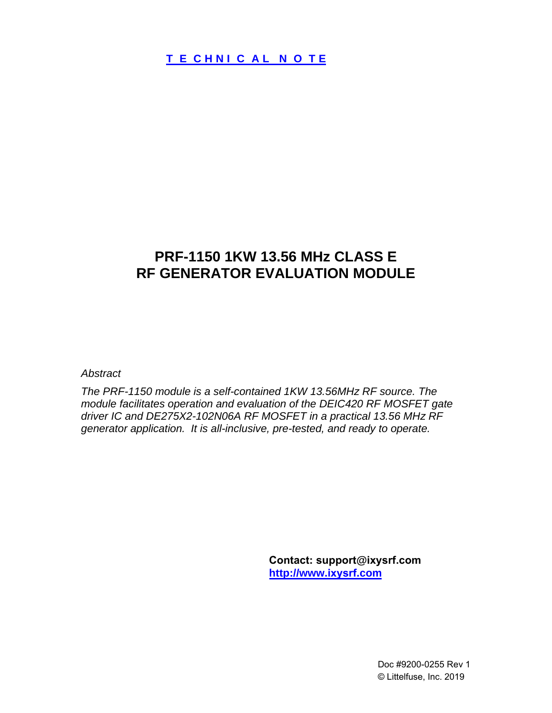# **PRF-1150 1KW 13.56 MHz CLASS E RF GENERATOR EVALUATION MODULE**

*Abstract*

*The PRF-1150 module is a self-contained 1KW 13.56MHz RF source. The module facilitates operation and evaluation of the DEIC420 RF MOSFET gate driver IC and DE275X2-102N06A RF MOSFET in a practical 13.56 MHz RF generator application. It is all-inclusive, pre-tested, and ready to operate.* 

> **Contact: support@ixysrf.com [http://www.](http://www.directedenergy.com)ixysrf.com**

> > Doc #9200-0255 Rev 1 © Littelfuse, Inc. 2019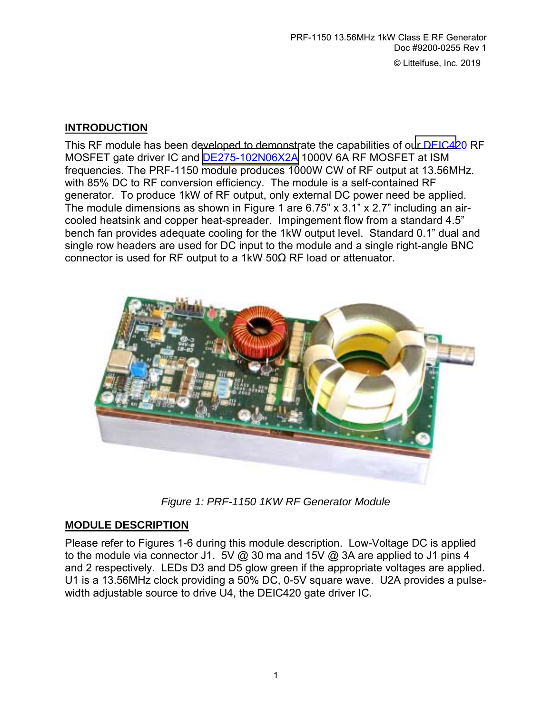### **INTRODUCTION**

This RF module has been developed to demonstrate the capabilities of our [DEIC42](http://www.directedenergy.com/Products/ics.htm)0 RF MOSFET gate driver IC and [DE275-102N06X2A](http://www.directedenergy.com/Products/specs/deseries.htm) 1000V 6A RF MOSFET at ISM frequencies. The PRF-1150 module produces 1000W CW of RF output at 13.56MHz. with 85% DC to RF conversion efficiency. The module is a self-contained RF generator. To produce 1kW of RF output, only external DC power need be applied. The module dimensions as shown in Figure 1 are  $6.75$ " x  $3.1$ " x  $2.7$ " including an aircooled heatsink and copper heat-spreader. Impingement flow from a standard 4.5î bench fan provides adequate cooling for the 1kW output level. Standard 0.1" dual and single row headers are used for DC input to the module and a single right-angle BNC connector is used for RF output to a 1kW 50Ω RF load or attenuator.



*Figure 1: PRF-1150 1KW RF Generator Module*

## **MODULE DESCRIPTION**

Please refer to Figures 1-6 during this module description. Low-Voltage DC is applied to the module via connector J1. 5V @ 30 ma and 15V @ 3A are applied to J1 pins 4 and 2 respectively. LEDs D3 and D5 glow green if the appropriate voltages are applied. U1 is a 13.56MHz clock providing a 50% DC, 0-5V square wave. U2A provides a pulsewidth adjustable source to drive U4, the DEIC420 gate driver IC.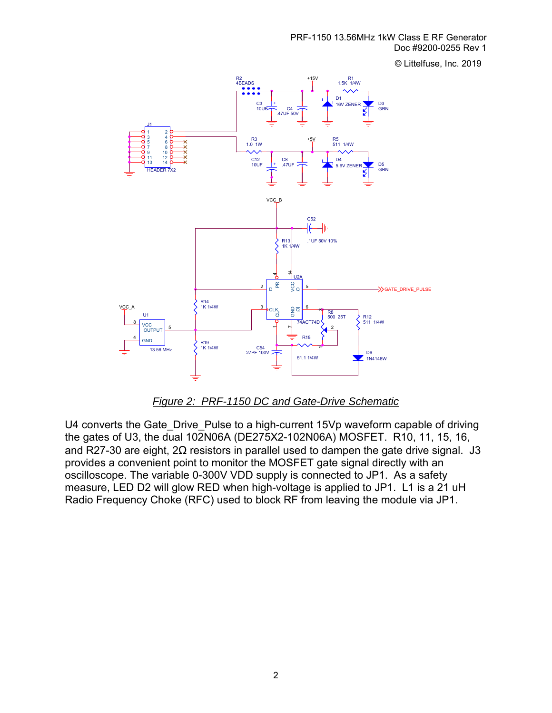© Littelfuse, Inc. 2019



*Figure 2: PRF-1150 DC and Gate-Drive Schematic*

U4 converts the Gate\_Drive\_Pulse to a high-current 15Vp waveform capable of driving the gates of U3, the dual 102N06A (DE275X2-102N06A) MOSFET. R10, 11, 15, 16, and R27-30 are eight,  $2\Omega$  resistors in parallel used to dampen the gate drive signal. J3 provides a convenient point to monitor the MOSFET gate signal directly with an oscilloscope. The variable 0-300V VDD supply is connected to JP1. As a safety measure, LED D2 will glow RED when high-voltage is applied to JP1. L1 is a 21 uH Radio Frequency Choke (RFC) used to block RF from leaving the module via JP1.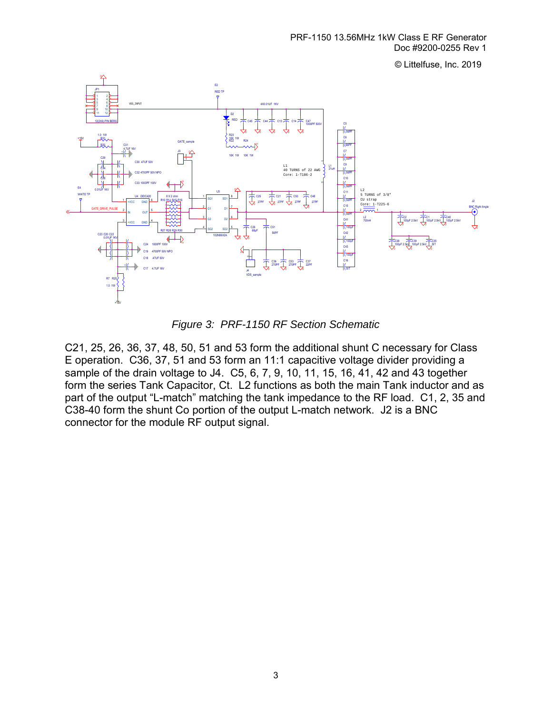© Littelfuse, Inc. 2019



*Figure 3: PRF-1150 RF Section Schematic* 

C21, 25, 26, 36, 37, 48, 50, 51 and 53 form the additional shunt C necessary for Class E operation. C36, 37, 51 and 53 form an 11:1 capacitive voltage divider providing a sample of the drain voltage to J4. C5, 6, 7, 9, 10, 11, 15, 16, 41, 42 and 43 together form the series Tank Capacitor, Ct. L2 functions as both the main Tank inductor and as part of the output "L-match" matching the tank impedance to the RF load. C1, 2, 35 and C38-40 form the shunt Co portion of the output L-match network. J2 is a BNC connector for the module RF output signal.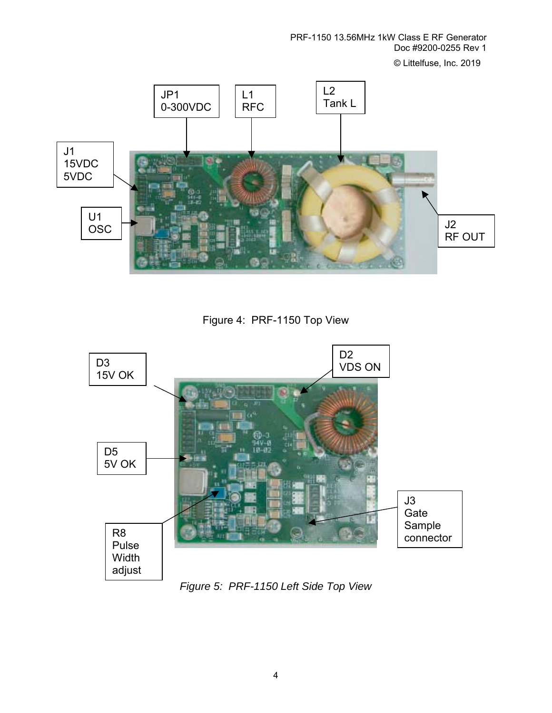PRF-1150 13.56MHz 1kW Class E RF Generator Doc #9200-0255 Rev 1 © Littelfuse, Inc. 2019

U1 OSC J1 15VDC 5VDC JP1 0-300VDC L1 RFC J2 RF OUT  $L2$ Tank L

Figure 4: PRF-1150 Top View



*Figure 5: PRF-1150 Left Side Top View*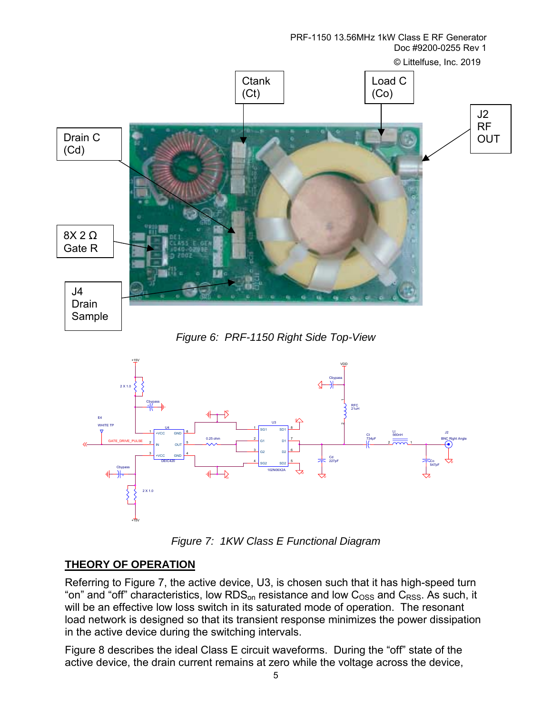PRF-1150 13.56MHz 1kW Class E RF Generator Doc #9200-0255 Rev 1



*Figure 6: PRF-1150 Right Side Top-View* 



*Figure 7: 1KW Class E Functional Diagram* 

### **THEORY OF OPERATION**

Referring to Figure 7, the active device, U3, is chosen such that it has high-speed turn "on" and "off" characteristics, low RDS<sub>on</sub> resistance and low C<sub>OSS</sub> and C<sub>RSS</sub>. As such, it will be an effective low loss switch in its saturated mode of operation. The resonant load network is designed so that its transient response minimizes the power dissipation in the active device during the switching intervals.

Figure 8 describes the ideal Class E circuit waveforms. During the "off" state of the active device, the drain current remains at zero while the voltage across the device,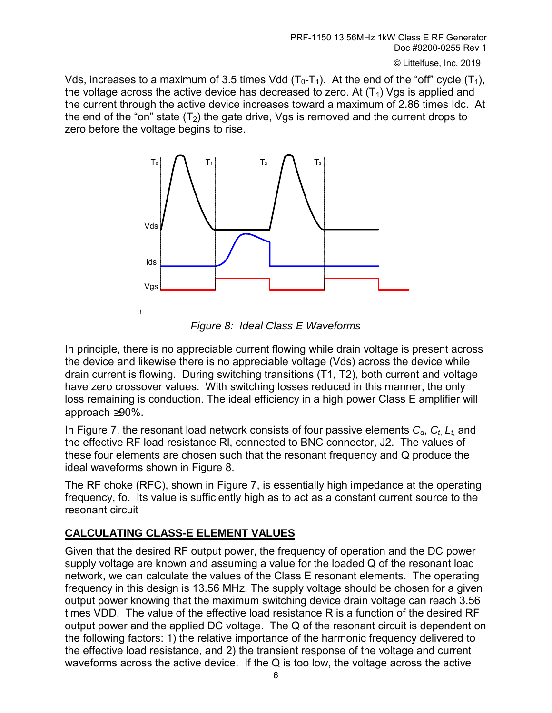© Littelfuse, Inc. 2019

Vds, increases to a maximum of 3.5 times Vdd  $(T_0-T_1)$ . At the end of the "off" cycle  $(T_1)$ , the voltage across the active device has decreased to zero. At  $(T_1)$  Vgs is applied and the current through the active device increases toward a maximum of 2.86 times Idc. At the end of the "on" state  $(T_2)$  the gate drive, Vgs is removed and the current drops to zero before the voltage begins to rise.



*Figure 8: Ideal Class E Waveforms* 

In principle, there is no appreciable current flowing while drain voltage is present across the device and likewise there is no appreciable voltage (Vds) across the device while drain current is flowing. During switching transitions (T1, T2), both current and voltage have zero crossover values. With switching losses reduced in this manner, the only loss remaining is conduction. The ideal efficiency in a high power Class E amplifier will approach ≥90%.

In Figure 7, the resonant load network consists of four passive elements  $C_d$ ,  $C_t$ ,  $L_t$  and the effective RF load resistance Rl, connected to BNC connector, J2. The values of these four elements are chosen such that the resonant frequency and Q produce the ideal waveforms shown in Figure 8.

The RF choke (RFC), shown in Figure 7, is essentially high impedance at the operating frequency, fo. Its value is sufficiently high as to act as a constant current source to the resonant circuit

## **CALCULATING CLASS-E ELEMENT VALUES**

Given that the desired RF output power, the frequency of operation and the DC power supply voltage are known and assuming a value for the loaded Q of the resonant load network, we can calculate the values of the Class E resonant elements. The operating frequency in this design is 13.56 MHz. The supply voltage should be chosen for a given output power knowing that the maximum switching device drain voltage can reach 3.56 times VDD. The value of the effective load resistance R is a function of the desired RF output power and the applied DC voltage. The Q of the resonant circuit is dependent on the following factors: 1) the relative importance of the harmonic frequency delivered to the effective load resistance, and 2) the transient response of the voltage and current waveforms across the active device. If the Q is too low, the voltage across the active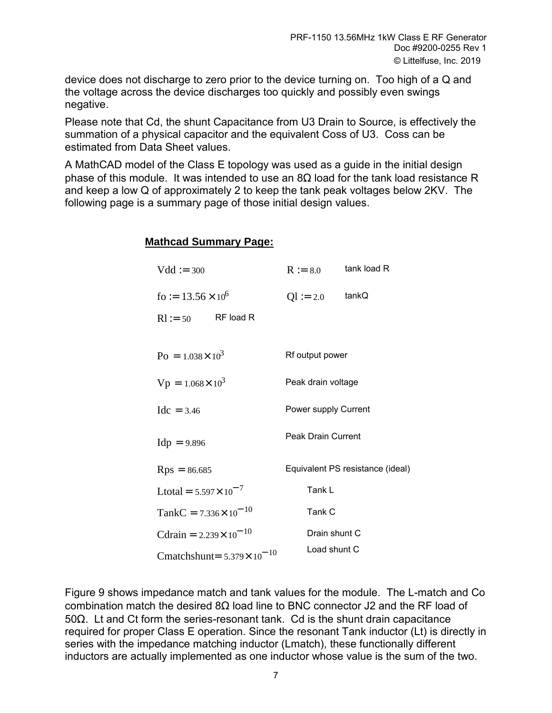device does not discharge to zero prior to the device turning on. Too high of a Q and the voltage across the device discharges too quickly and possibly even swings negative.

Please note that Cd, the shunt Capacitance from U3 Drain to Source, is effectively the summation of a physical capacitor and the equivalent Coss of U3. Coss can be estimated from Data Sheet values.

A MathCAD model of the Class E topology was used as a guide in the initial design phase of this module. It was intended to use an  $8\Omega$  load for the tank load resistance R and keep a low Q of approximately 2 to keep the tank peak voltages below 2KV. The following page is a summary page of those initial design values.

#### **Mathcad Summary Page:**

| $Vdd := 300$                         | $R := 8.0$                | tank load R                      |
|--------------------------------------|---------------------------|----------------------------------|
| fo := $13.56 \times 10^6$            | $Q1 := 2.0$               | tankQ                            |
| $Rl := 50$ RF load R                 |                           |                                  |
|                                      |                           |                                  |
| $P_0 = 1.038 \times 10^3$            | Rf output power           |                                  |
| $Vp = 1.068 \times 10^3$             | Peak drain voltage        |                                  |
| $Idc = 3.46$                         | Power supply Current      |                                  |
| $Idp = 9.896$                        | <b>Peak Drain Current</b> |                                  |
| $Rps = 86.685$                       |                           | Equivalent PS resistance (ideal) |
| Ltotal = $5.597 \times 10^{-7}$      | Tank L                    |                                  |
| TankC = $7.336 \times 10^{-10}$      | Tank C                    |                                  |
| Cdrain = $2.239 \times 10^{-10}$     | Drain shunt C             |                                  |
| Cmatchshunt= $5.379 \times 10^{-10}$ | Load shunt C              |                                  |

Figure 9 shows impedance match and tank values for the module. The L-match and Co combination match the desired 8Ω load line to BNC connector J2 and the RF load of 50Ω. Lt and Ct form the series-resonant tank. Cd is the shunt drain capacitance required for proper Class E operation. Since the resonant Tank inductor (Lt) is directly in series with the impedance matching inductor (Lmatch), these functionally different inductors are actually implemented as one inductor whose value is the sum of the two.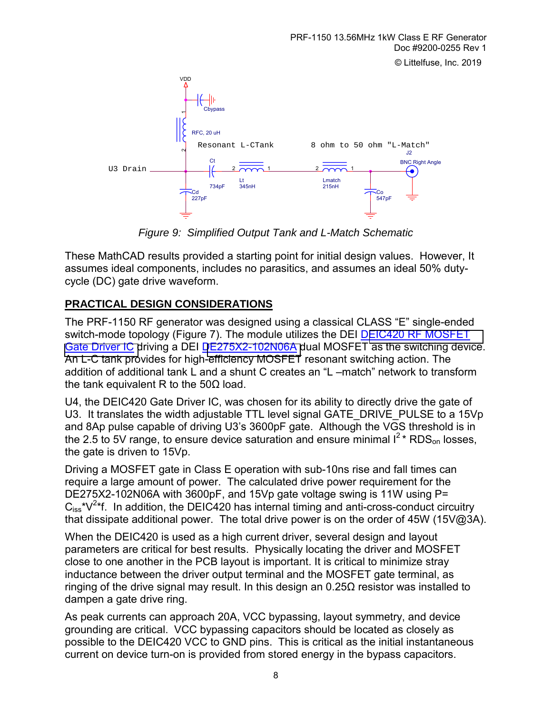

*Figure 9: Simplified Output Tank and L-Match Schematic*

These MathCAD results provided a starting point for initial design values. However, It assumes ideal components, includes no parasitics, and assumes an ideal 50% dutycycle (DC) gate drive waveform.

## **PRACTICAL DESIGN CONSIDERATIONS**

The PRF-1150 RF generator was designed using a classical CLASS "E" single-ended switch-mode topology (Figure 7). The module utilizes the DEI DEIC420 RF MOSFET [Gate Driver IC d](http://www.directedenergy.com/Products/ics.htm)riving a DEI [DE275X2-102N06A d](http://www.directedenergy.com/Products/specs/deseries.htm)ual MOSFET as the switching device. An L-C tank provides for high-efficiency MOSFET resonant switching action. The addition of additional tank L and a shunt C creates an "L -match" network to transform the tank equivalent R to the 50Ω load.

U4, the DEIC420 Gate Driver IC, was chosen for its ability to directly drive the gate of U3. It translates the width adjustable TTL level signal GATE\_DRIVE\_PULSE to a 15Vp and 8Ap pulse capable of driving U3's 3600pF gate. Although the VGS threshold is in the 2.5 to 5V range, to ensure device saturation and ensure minimal  $I^2$ \* RDS<sub>on</sub> losses, the gate is driven to 15Vp.

Driving a MOSFET gate in Class E operation with sub-10ns rise and fall times can require a large amount of power. The calculated drive power requirement for the DE275X2-102N06A with 3600pF, and 15Vp gate voltage swing is 11W using P=  $C_{iss}$ <sup>\*</sup> $V^{2*}$ f. In addition, the DEIC420 has internal timing and anti-cross-conduct circuitry that dissipate additional power. The total drive power is on the order of 45W (15V@3A).

When the DEIC420 is used as a high current driver, several design and layout parameters are critical for best results. Physically locating the driver and MOSFET close to one another in the PCB layout is important. It is critical to minimize stray inductance between the driver output terminal and the MOSFET gate terminal, as ringing of the drive signal may result. In this design an 0.25Ω resistor was installed to dampen a gate drive ring.

As peak currents can approach 20A, VCC bypassing, layout symmetry, and device grounding are critical. VCC bypassing capacitors should be located as closely as possible to the DEIC420 VCC to GND pins. This is critical as the initial instantaneous current on device turn-on is provided from stored energy in the bypass capacitors.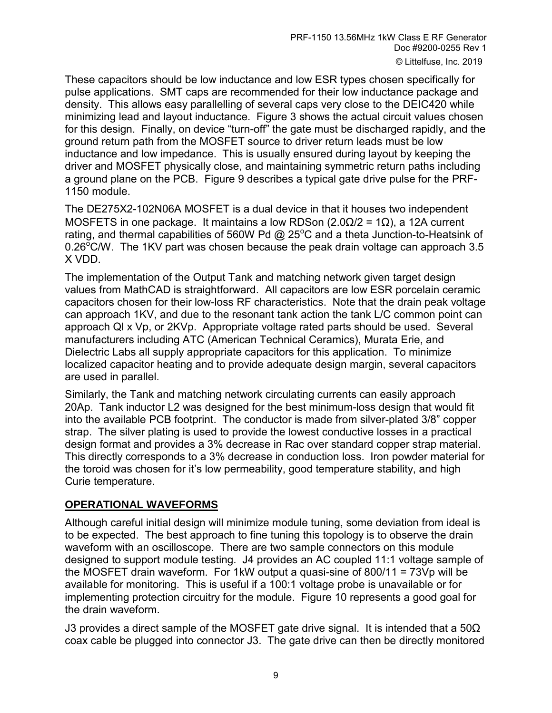These capacitors should be low inductance and low ESR types chosen specifically for pulse applications. SMT caps are recommended for their low inductance package and density. This allows easy parallelling of several caps very close to the DEIC420 while minimizing lead and layout inductance. Figure 3 shows the actual circuit values chosen for this design. Finally, on device "turn-off" the gate must be discharged rapidly, and the ground return path from the MOSFET source to driver return leads must be low inductance and low impedance. This is usually ensured during layout by keeping the driver and MOSFET physically close, and maintaining symmetric return paths including a ground plane on the PCB. Figure 9 describes a typical gate drive pulse for the PRF-1150 module.

The DE275X2-102N06A MOSFET is a dual device in that it houses two independent MOSFETS in one package. It maintains a low RDSon ( $2.0\Omega/2 = 1\Omega$ ), a 12A current rating, and thermal capabilities of 560W Pd @ 25 $^{\circ}$ C and a theta Junction-to-Heatsink of 0.26 $\mathrm{^{\circ}CN}$ . The 1KV part was chosen because the peak drain voltage can approach 3.5 X VDD.

The implementation of the Output Tank and matching network given target design values from MathCAD is straightforward. All capacitors are low ESR porcelain ceramic capacitors chosen for their low-loss RF characteristics. Note that the drain peak voltage can approach 1KV, and due to the resonant tank action the tank L/C common point can approach Ql x Vp, or 2KVp. Appropriate voltage rated parts should be used. Several manufacturers including ATC (American Technical Ceramics), Murata Erie, and Dielectric Labs all supply appropriate capacitors for this application. To minimize localized capacitor heating and to provide adequate design margin, several capacitors are used in parallel.

Similarly, the Tank and matching network circulating currents can easily approach 20Ap. Tank inductor L2 was designed for the best minimum-loss design that would fit into the available PCB footprint. The conductor is made from silver-plated 3/8<sup>"</sup> copper strap. The silver plating is used to provide the lowest conductive losses in a practical design format and provides a 3% decrease in Rac over standard copper strap material. This directly corresponds to a 3% decrease in conduction loss. Iron powder material for the toroid was chosen for it's low permeability, good temperature stability, and high Curie temperature.

### **OPERATIONAL WAVEFORMS**

Although careful initial design will minimize module tuning, some deviation from ideal is to be expected. The best approach to fine tuning this topology is to observe the drain waveform with an oscilloscope. There are two sample connectors on this module designed to support module testing. J4 provides an AC coupled 11:1 voltage sample of the MOSFET drain waveform. For 1kW output a quasi-sine of 800/11 = 73Vp will be available for monitoring. This is useful if a 100:1 voltage probe is unavailable or for implementing protection circuitry for the module. Figure 10 represents a good goal for the drain waveform.

J3 provides a direct sample of the MOSFET gate drive signal. It is intended that a  $50\Omega$ coax cable be plugged into connector J3. The gate drive can then be directly monitored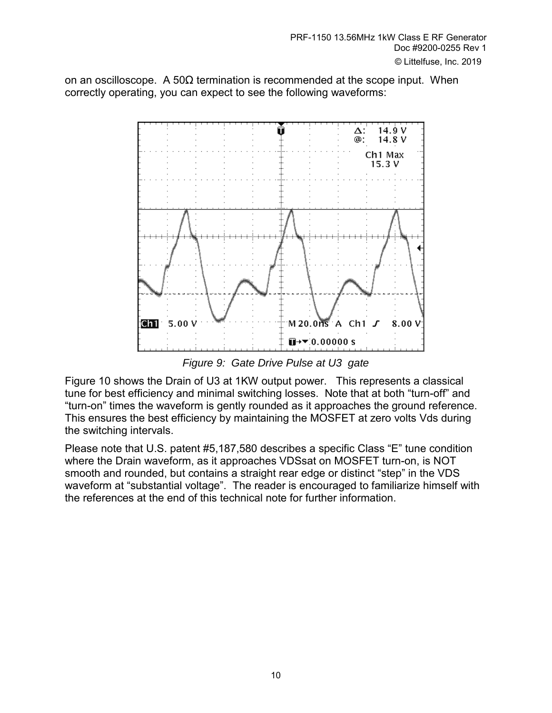on an oscilloscope. A 50 $\Omega$  termination is recommended at the scope input. When correctly operating, you can expect to see the following waveforms:



*Figure 9: Gate Drive Pulse at U3 gate* 

Figure 10 shows the Drain of U3 at 1KW output power. This represents a classical tune for best efficiency and minimal switching losses. Note that at both "turn-off" and ìturn-onî times the waveform is gently rounded as it approaches the ground reference. This ensures the best efficiency by maintaining the MOSFET at zero volts Vds during the switching intervals.

Please note that U.S. patent #5,187,580 describes a specific Class "E" tune condition where the Drain waveform, as it approaches VDSsat on MOSFET turn-on, is NOT smooth and rounded, but contains a straight rear edge or distinct "step" in the VDS waveform at "substantial voltage". The reader is encouraged to familiarize himself with the references at the end of this technical note for further information.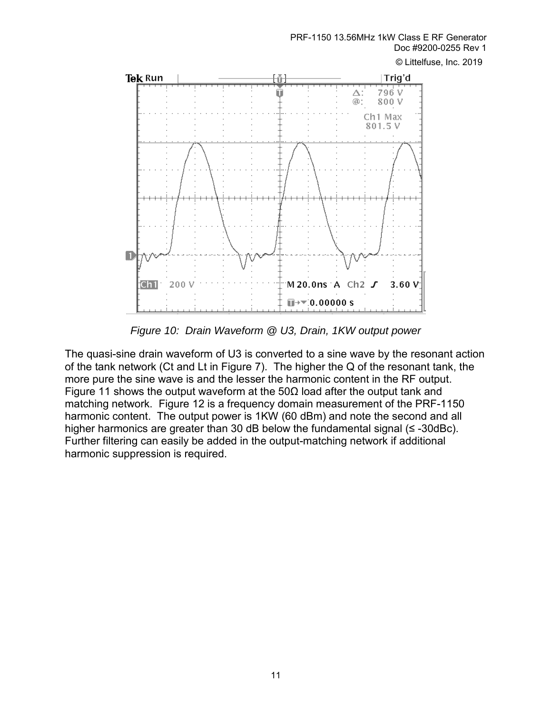PRF-1150 13.56MHz 1kW Class E RF Generator Doc #9200-0255 Rev 1

© Littelfuse, Inc. 2019



*Figure 10: Drain Waveform @ U3, Drain, 1KW output power* 

The quasi-sine drain waveform of U3 is converted to a sine wave by the resonant action of the tank network (Ct and Lt in Figure 7). The higher the Q of the resonant tank, the more pure the sine wave is and the lesser the harmonic content in the RF output. Figure 11 shows the output waveform at the 50 $\Omega$  load after the output tank and matching network. Figure 12 is a frequency domain measurement of the PRF-1150 harmonic content. The output power is 1KW (60 dBm) and note the second and all higher harmonics are greater than 30 dB below the fundamental signal (≤ -30dBc). Further filtering can easily be added in the output-matching network if additional harmonic suppression is required.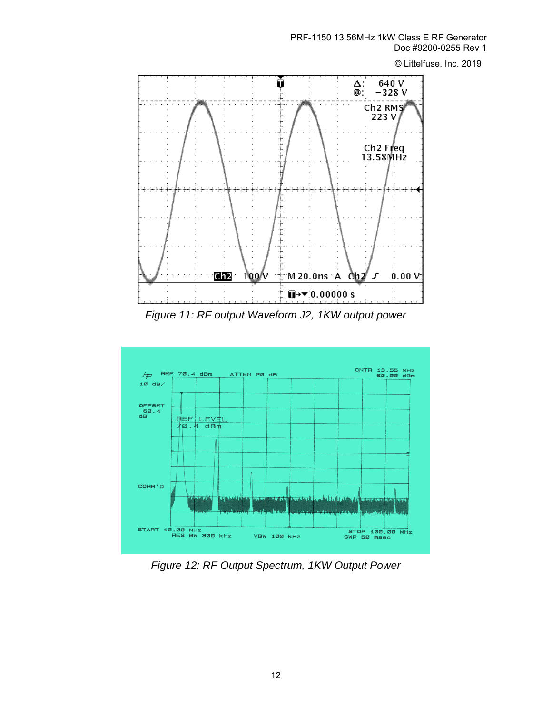PRF-1150 13.56MHz 1kW Class E RF Generator Doc #9200-0255 Rev 1

© Littelfuse, Inc. 2019



*Figure 11: RF output Waveform J2, 1KW output power* 



*Figure 12: RF Output Spectrum, 1KW Output Power*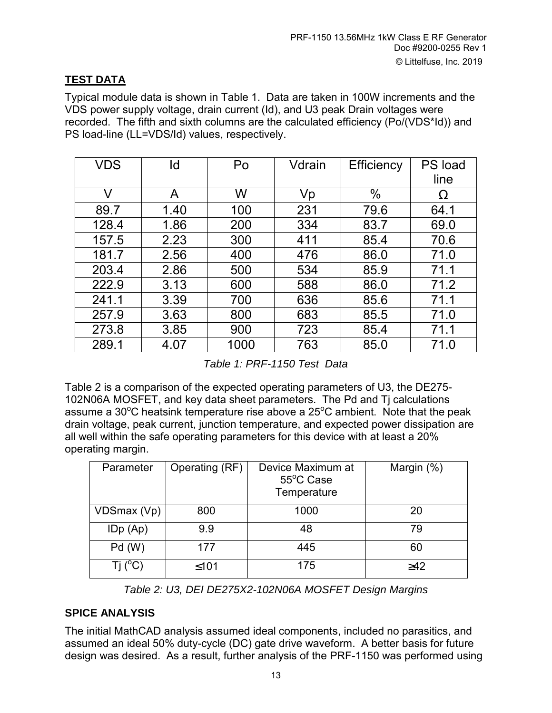## **TEST DATA**

Typical module data is shown in Table 1. Data are taken in 100W increments and the VDS power supply voltage, drain current (Id), and U3 peak Drain voltages were recorded. The fifth and sixth columns are the calculated efficiency (Po/(VDS\*Id)) and PS load-line (LL=VDS/Id) values, respectively.

| VDS   | ld   | Po   | Vdrain | Efficiency | PS load |
|-------|------|------|--------|------------|---------|
|       |      |      |        |            | line    |
| V     | A    | W    | Vp     | $\%$       | Ω       |
| 89.7  | 1.40 | 100  | 231    | 79.6       | 64.1    |
| 128.4 | 1.86 | 200  | 334    | 83.7       | 69.0    |
| 157.5 | 2.23 | 300  | 411    | 85.4       | 70.6    |
| 181.7 | 2.56 | 400  | 476    | 86.0       | 71.0    |
| 203.4 | 2.86 | 500  | 534    | 85.9       | 71.1    |
| 222.9 | 3.13 | 600  | 588    | 86.0       | 71.2    |
| 241.1 | 3.39 | 700  | 636    | 85.6       | 71.1    |
| 257.9 | 3.63 | 800  | 683    | 85.5       | 71.0    |
| 273.8 | 3.85 | 900  | 723    | 85.4       | 71.1    |
| 289.1 | 4.07 | 1000 | 763    | 85.0       | 71.0    |

*Table 1: PRF-1150 Test Data*

Table 2 is a comparison of the expected operating parameters of U3, the DE275- 102N06A MOSFET, and key data sheet parameters. The Pd and Tj calculations assume a 30 $\mathrm{^{\circ}C}$  heatsink temperature rise above a 25 $\mathrm{^{\circ}C}$  ambient. Note that the peak drain voltage, peak current, junction temperature, and expected power dissipation are all well within the safe operating parameters for this device with at least a 20% operating margin.

| Parameter        | Operating (RF) | Device Maximum at<br>55°C Case<br>Temperature | Margin (%) |
|------------------|----------------|-----------------------------------------------|------------|
| VDSmax (Vp)      | 800            | 1000                                          | 20         |
| IDp (Ap)         | 9.9            | 48                                            | 79         |
| Pd(W)            | 177            | 445                                           | 60         |
| Tj $(^{\circ}C)$ | $≤101$         | 175                                           | $\geq 42$  |

*Table 2: U3, DEI DE275X2-102N06A MOSFET Design Margins*

## **SPICE ANALYSIS**

The initial MathCAD analysis assumed ideal components, included no parasitics, and assumed an ideal 50% duty-cycle (DC) gate drive waveform. A better basis for future design was desired. As a result, further analysis of the PRF-1150 was performed using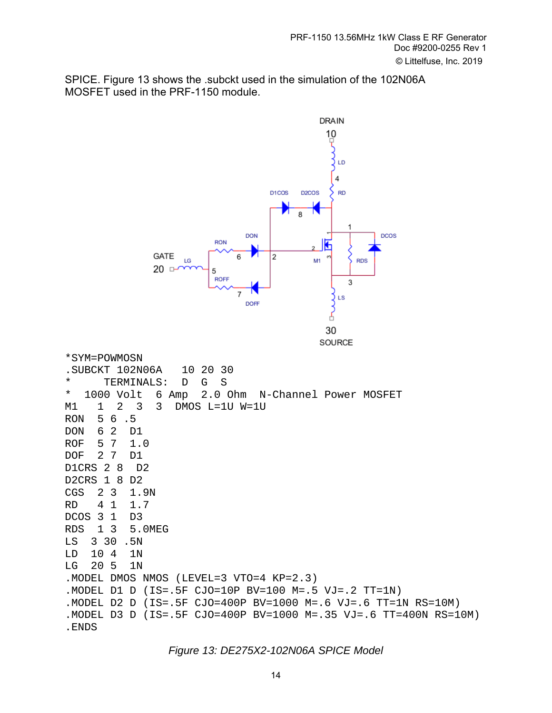SPICE. Figure 13 shows the .subckt used in the simulation of the 102N06A MOSFET used in the PRF-1150 module.



*Figure 13: DE275X2-102N06A SPICE Model*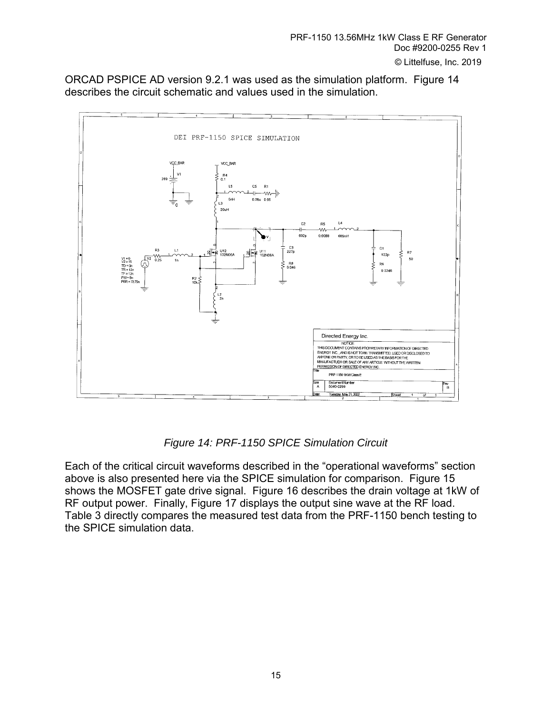ORCAD PSPICE AD version 9.2.1 was used as the simulation platform. Figure 14 describes the circuit schematic and values used in the simulation.



*Figure 14: PRF-1150 SPICE Simulation Circuit*

Each of the critical circuit waveforms described in the "operational waveforms" section above is also presented here via the SPICE simulation for comparison. Figure 15 shows the MOSFET gate drive signal. Figure 16 describes the drain voltage at 1kW of RF output power. Finally, Figure 17 displays the output sine wave at the RF load. Table 3 directly compares the measured test data from the PRF-1150 bench testing to the SPICE simulation data.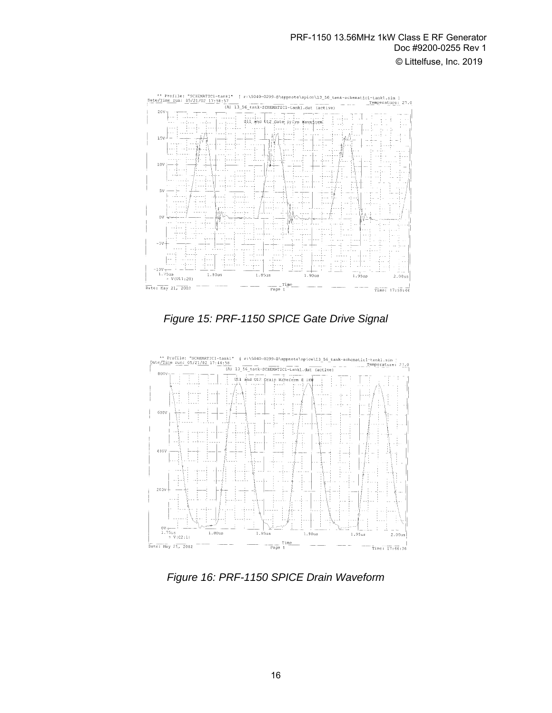

*Figure 15: PRF-1150 SPICE Gate Drive Signal* 



*Figure 16: PRF-1150 SPICE Drain Waveform*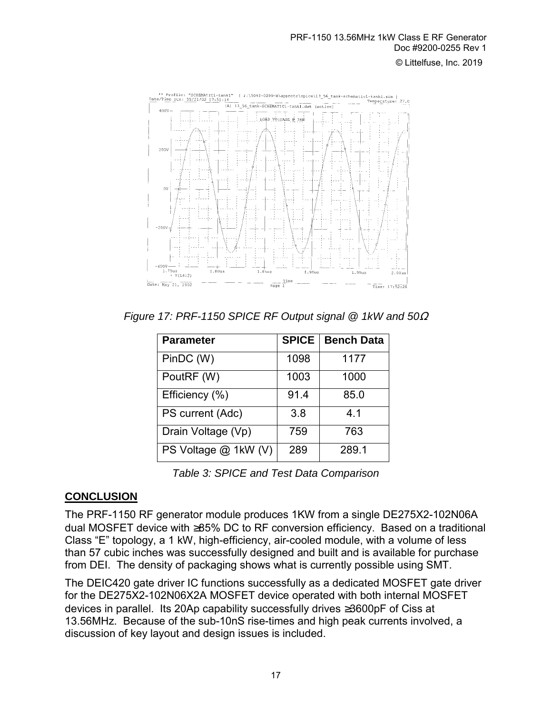

*Figure 17: PRF-1150 SPICE RF Output signal @ 1kW and 50*<sup>Ω</sup>

| <b>Parameter</b>     | <b>SPICE</b> | <b>Bench Data</b> |
|----------------------|--------------|-------------------|
| PinDC (W)            | 1098         | 1177              |
| PoutRF (W)           | 1003         | 1000              |
| Efficiency (%)       | 91.4         | 85.0              |
| PS current (Adc)     | 3.8          | 4.1               |
| Drain Voltage (Vp)   | 759          | 763               |
| PS Voltage @ 1kW (V) | 289          | 289.1             |

*Table 3: SPICE and Test Data Comparison*

## **CONCLUSION**

The PRF-1150 RF generator module produces 1KW from a single DE275X2-102N06A dual MOSFET device with ≥85% DC to RF conversion efficiency. Based on a traditional Class "E" topology, a 1 kW, high-efficiency, air-cooled module, with a volume of less than 57 cubic inches was successfully designed and built and is available for purchase from DEI. The density of packaging shows what is currently possible using SMT.

The DEIC420 gate driver IC functions successfully as a dedicated MOSFET gate driver for the DE275X2-102N06X2A MOSFET device operated with both internal MOSFET devices in parallel. Its 20Ap capability successfully drives ≥3600pF of Ciss at 13.56MHz. Because of the sub-10nS rise-times and high peak currents involved, a discussion of key layout and design issues is included.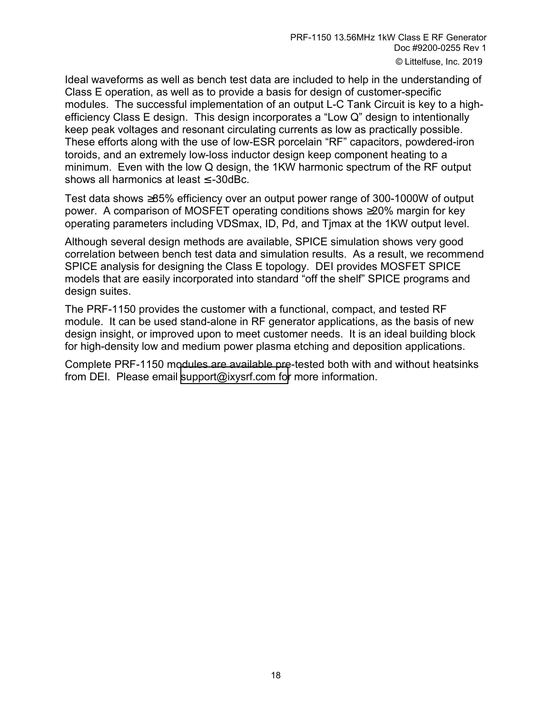Ideal waveforms as well as bench test data are included to help in the understanding of Class E operation, as well as to provide a basis for design of customer-specific modules. The successful implementation of an output L-C Tank Circuit is key to a highefficiency Class E design. This design incorporates a "Low  $Q$ " design to intentionally keep peak voltages and resonant circulating currents as low as practically possible. These efforts along with the use of low-ESR porcelain "RF" capacitors, powdered-iron toroids, and an extremely low-loss inductor design keep component heating to a minimum. Even with the low Q design, the 1KW harmonic spectrum of the RF output shows all harmonics at least ≤ -30dBc.

Test data shows ≥85% efficiency over an output power range of 300-1000W of output power. A comparison of MOSFET operating conditions shows ≥20% margin for key operating parameters including VDSmax, ID, Pd, and Tjmax at the 1KW output level.

Although several design methods are available, SPICE simulation shows very good correlation between bench test data and simulation results. As a result, we recommend SPICE analysis for designing the Class E topology. DEI provides MOSFET SPICE models that are easily incorporated into standard "off the shelf" SPICE programs and design suites.

The PRF-1150 provides the customer with a functional, compact, and tested RF module. It can be used stand-alone in RF generator applications, as the basis of new design insight, or improved upon to meet customer needs. It is an ideal building block for high-density low and medium power plasma etching and deposition applications.

Complete PRF-1150 modules are available pre-tested both with and without heatsinks from DEI. Please email [support@ixysrf.com](mailto:deiinfo@directedenergy.com) for more information.